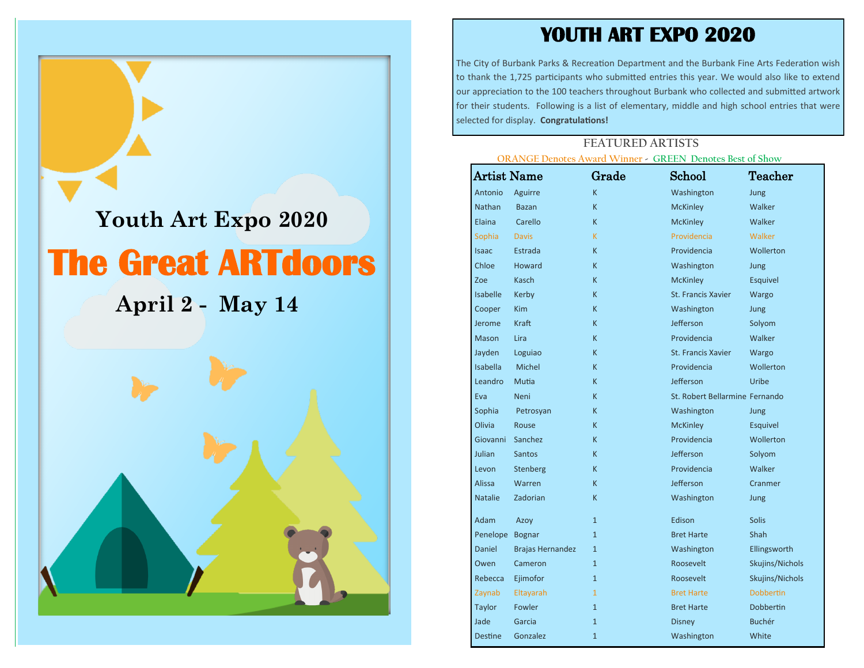## **YOUTH ART EXPO 2020**

The City of Burbank Parks & Recreation Department and the Burbank Fine Arts Federation wish to thank the 1,725 participants who submitted entries this year. We would also like to extend our appreciation to the 100 teachers throughout Burbank who collected and submitted artwork for their students. Following is a list of elementary, middle and high school entries that were selected for display. **Congratulations!**

## **FEATURED ARTISTS ORANGE Denotes Award Winner - GREEN Denotes Best of Show**

| <b>Artist Name</b>     |                         | Grade          | INGE Denotes Award Winner - GREEN Denotes best of Show<br>School | Teacher          |
|------------------------|-------------------------|----------------|------------------------------------------------------------------|------------------|
| Antonio                | Aguirre                 | K.             | Washington                                                       | Jung             |
| Nathan                 | <b>Bazan</b>            | K.             | <b>McKinley</b>                                                  | Walker           |
| Elaina                 | Carello                 | K.             | <b>McKinley</b>                                                  | Walker           |
|                        | <b>Davis</b>            | K.             | Providencia                                                      | Walker           |
| Sophia<br><b>Isaac</b> | Estrada                 | K.             | Providencia                                                      | Wollerton        |
| Chloe                  | Howard                  | K.             | Washington                                                       |                  |
| Zoe                    | Kasch                   | K.             |                                                                  | Jung             |
| <b>Isabelle</b>        |                         | K.             | <b>McKinley</b><br><b>St. Francis Xavier</b>                     | Esquivel         |
|                        | Kerby                   | K.             |                                                                  | Wargo            |
| Cooper                 | Kim                     |                | Washington                                                       | Jung             |
| Jerome                 | Kraft                   | K.             | Jefferson                                                        | Solyom           |
| Mason                  | Lira                    | K.             | Providencia                                                      | Walker           |
| Jayden                 | Loguiao                 | K.             | St. Francis Xavier                                               | Wargo            |
| Isabella               | Michel                  | K.             | Providencia                                                      | Wollerton        |
| Leandro                | Mutia                   | K.             | Jefferson                                                        | Uribe            |
| Eva                    | Neni                    | K.             | St. Robert Bellarmine Fernando                                   |                  |
| Sophia                 | Petrosyan               | K.             | Washington                                                       | Jung             |
| Olivia                 | Rouse                   | K.             | <b>McKinley</b>                                                  | Esquivel         |
| Giovanni               | Sanchez                 | K.             | Providencia                                                      | Wollerton        |
| Julian                 | <b>Santos</b>           | K.             | Jefferson                                                        | Solyom           |
| Levon                  | Stenberg                | K.             | Providencia                                                      | Walker           |
| <b>Alissa</b>          | Warren                  | K.             | Jefferson                                                        | Cranmer          |
| <b>Natalie</b>         | Zadorian                | K.             | Washington                                                       | Jung             |
| Adam                   | Azoy                    | $\mathbf{1}$   | Edison                                                           | <b>Solis</b>     |
| Penelope               | <b>Bognar</b>           | $\overline{1}$ | <b>Bret Harte</b>                                                | Shah             |
| Daniel                 | <b>Brajas Hernandez</b> | $\overline{1}$ | Washington                                                       | Ellingsworth     |
| Owen                   | Cameron                 | $\overline{1}$ | Roosevelt                                                        | Skujins/Nichols  |
| Rebecca                | Ejimofor                | $\overline{1}$ | Roosevelt                                                        | Skujins/Nichols  |
| Zaynab                 | Eltayarah               | $\overline{1}$ | <b>Bret Harte</b>                                                | <b>Dobbertin</b> |
| Taylor                 | Fowler                  | $\overline{1}$ | <b>Bret Harte</b>                                                | <b>Dobbertin</b> |
| Jade                   | Garcia                  | $\overline{1}$ | <b>Disney</b>                                                    | <b>Buchér</b>    |
| <b>Destine</b>         | Gonzalez                | $\overline{1}$ | Washington                                                       | White            |

## **The Great ARTdoors Youth Art Expo 2020 April 2 - May 14**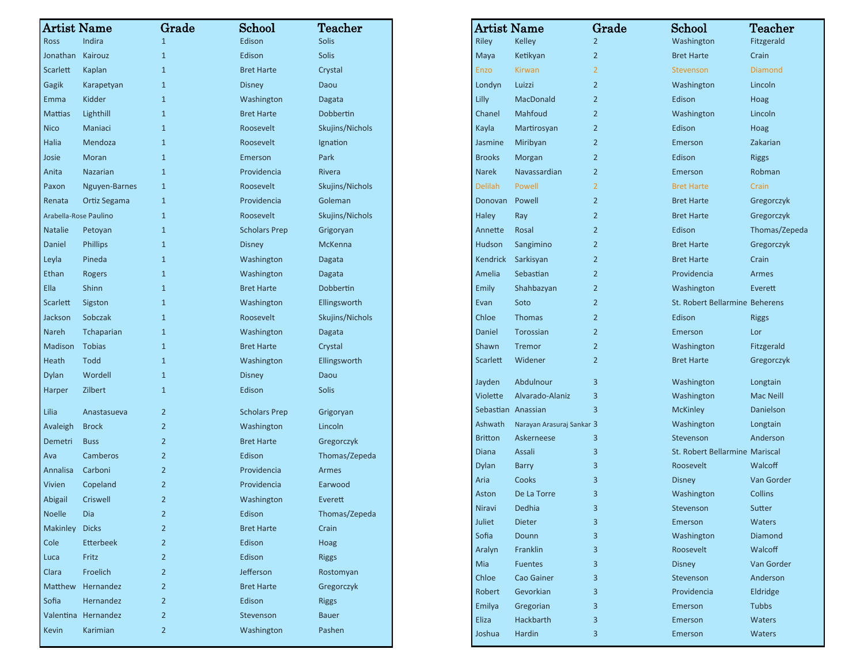| <b>Artist Name</b>    |                     | Grade          | School               | <b>Teacher</b>  | <b>Artist Name</b>        |                                         | Grad           |
|-----------------------|---------------------|----------------|----------------------|-----------------|---------------------------|-----------------------------------------|----------------|
| <b>Ross</b>           | Indira              | 1              | Edison               | <b>Solis</b>    | Riley                     | Kelley                                  | $\overline{2}$ |
| Jonathan              | Kairouz             | $\mathbf{1}$   | Edison               | <b>Solis</b>    | Maya                      | Ketikyan                                | $\overline{2}$ |
| Scarlett              | Kaplan              | $\mathbf{1}$   | <b>Bret Harte</b>    | Crystal         | Enzo                      | <b>Kirwan</b>                           | $\overline{2}$ |
| Gagik                 | Karapetyan          | $\mathbf{1}$   | <b>Disney</b>        | Daou            | Londyn                    | Luizzi                                  | $\overline{2}$ |
| Emma                  | Kidder              | $\mathbf{1}$   | Washington           | Dagata          | Lilly                     | MacDonald                               | $\overline{2}$ |
| <b>Mattias</b>        | Lighthill           | $\mathbf{1}$   | <b>Bret Harte</b>    | Dobbertin       | Chanel                    | Mahfoud                                 | $\overline{2}$ |
| <b>Nico</b>           | Maniaci             | $\mathbf{1}$   | Roosevelt            | Skujins/Nichols | Kayla                     | Martirosyan                             | $\overline{2}$ |
| Halia                 | Mendoza             | $\mathbf{1}$   | Roosevelt            | Ignation        | Jasmine                   | Miribyan                                | $\overline{2}$ |
| Josie                 | Moran               | $\mathbf{1}$   | Emerson              | Park            | <b>Brooks</b>             | Morgan                                  | $\overline{2}$ |
| Anita                 | Nazarian            | $\mathbf{1}$   | Providencia          | Rivera          | Narek                     | Navassardian                            | $\overline{2}$ |
| Paxon                 | Nguyen-Barnes       | $\mathbf{1}$   | Roosevelt            | Skujins/Nichols | <b>Delilah</b>            | Powell                                  | $\overline{2}$ |
| Renata                | Ortiz Segama        | $\mathbf{1}$   | Providencia          | Goleman         | Donovan                   | Powell                                  | $\overline{2}$ |
| Arabella-Rose Paulino |                     | $\mathbf{1}$   | Roosevelt            | Skujins/Nichols | Haley                     | Ray                                     | $\overline{2}$ |
| <b>Natalie</b>        | Petoyan             | $\mathbf{1}$   | <b>Scholars Prep</b> | Grigoryan       | Annette                   | Rosal                                   | $\overline{2}$ |
| Daniel                | <b>Phillips</b>     | $\mathbf{1}$   | <b>Disney</b>        | McKenna         | Hudson                    | Sangimino                               | $\overline{2}$ |
| Leyla                 | Pineda              | $\mathbf{1}$   | Washington           | Dagata          | Kendrick                  | Sarkisyan                               | $\overline{2}$ |
| Ethan                 | Rogers              | $\mathbf{1}$   | Washington           | Dagata          | Amelia                    | Sebastian                               | $\overline{2}$ |
| Ella                  | Shinn               | $\mathbf{1}$   | <b>Bret Harte</b>    | Dobbertin       | Emily                     | Shahbazyan                              | $\overline{2}$ |
| Scarlett              | Sigston             | $\mathbf{1}$   | Washington           | Ellingsworth    | Evan                      | Soto                                    | $\overline{2}$ |
| Jackson               | Sobczak             | $\mathbf{1}$   | Roosevelt            | Skujins/Nichols | Chloe                     | Thomas                                  | $\overline{2}$ |
| Nareh                 | Tchaparian          | $\mathbf{1}$   | Washington           | Dagata          | Daniel                    | Torossian                               | $\overline{2}$ |
| Madison               | <b>Tobias</b>       | $\mathbf{1}$   | <b>Bret Harte</b>    | Crystal         | Shawn                     | Tremor                                  | $\overline{2}$ |
| Heath                 | <b>Todd</b>         | $\mathbf{1}$   | Washington           | Ellingsworth    | Scarlett                  | Widener                                 | $\overline{2}$ |
| <b>Dylan</b>          | Wordell             | $\mathbf{1}$   | <b>Disney</b>        | Daou            |                           |                                         |                |
| Harper                | Zilbert             | $\mathbf{1}$   | Edison               | <b>Solis</b>    | Jayden                    | Abdulnour                               | 3              |
|                       |                     |                |                      |                 | Violette                  | Alvarado-Alaniz                         | 3              |
| Lilia                 | Anastasueva         | $\overline{2}$ | <b>Scholars Prep</b> | Grigoryan       |                           | Sebastian Anassian                      | $\overline{3}$ |
| Avaleigh              | <b>Brock</b>        | $\overline{2}$ | Washington           | Lincoln         | Ashwath<br><b>Britton</b> | Narayan Arasuraj Sankar 3<br>Askerneese |                |
| Demetri               | <b>Buss</b>         | $\overline{2}$ | <b>Bret Harte</b>    | Gregorczyk      | <b>Diana</b>              | Assali                                  | 3<br>3         |
| Ava                   | Camberos            | $\overline{2}$ | Edison               | Thomas/Zepeda   | <b>Dylan</b>              | <b>Barry</b>                            | 3              |
| Annalisa              | Carboni             | $\overline{2}$ | Providencia          | Armes           | Aria                      | Cooks                                   | 3              |
| Vivien                | Copeland            | $\overline{2}$ | Providencia          | Earwood         | Aston                     | De La Torre                             | 3              |
| Abigail               | Criswell            | $\overline{2}$ | Washington           | Everett         | Niravi                    | Dedhia                                  | $\mathbf{R}$   |
| Noelle                | Dia                 | $\overline{2}$ | Edison               | Thomas/Zepeda   | Juliet                    | <b>Dieter</b>                           | 3              |
| Makinley              | <b>Dicks</b>        | $\overline{2}$ | <b>Bret Harte</b>    | Crain           | Sofia                     | Dounn                                   | 3              |
| Cole                  | <b>Etterbeek</b>    | $\overline{2}$ | Edison               | Hoag            | Aralyn                    | Franklin                                | 3              |
| Luca                  | Fritz               | $\overline{2}$ | Edison               | <b>Riggs</b>    | Mia                       | <b>Fuentes</b>                          | 3              |
| Clara                 | Froelich            | $\overline{2}$ | Jefferson            | Rostomyan       | Chloe                     | Cao Gainer                              | 3              |
| Matthew               | Hernandez           | $\overline{2}$ | <b>Bret Harte</b>    | Gregorczyk      | Robert                    | Gevorkian                               | 3              |
| Sofia                 | Hernandez           | $\overline{2}$ | Edison               | <b>Riggs</b>    | Emilya                    | Gregorian                               | 3              |
|                       | Valentina Hernandez | $\overline{2}$ | Stevenson            | <b>Bauer</b>    | Eliza                     | Hackbarth                               | 3              |
| Kevin                 | Karimian            | $\overline{2}$ | Washington           | Pashen          | Joshua                    | Hardin                                  | 3              |

| Artist Name        |                           | Grade          | School                                | $\operatorname{\mathsf{Teacher}}$ |
|--------------------|---------------------------|----------------|---------------------------------------|-----------------------------------|
| <b>Riley</b>       | <b>Kelley</b>             | $\overline{2}$ | Washington                            | Fitzgerald                        |
| Maya               | Ketikyan                  | 2              | <b>Bret Harte</b>                     | Crain                             |
| Enzo               | <b>Kirwan</b>             | 2              | Stevenson                             | <b>Diamond</b>                    |
| Londyn             | Luizzi                    | $\overline{2}$ | Washington                            | Lincoln                           |
| Lilly              | MacDonald                 | $\overline{2}$ | Edison                                | Hoag                              |
| Chanel             | Mahfoud                   | 2              | Washington                            | Lincoln                           |
| Kayla              | Martirosyan               | $\overline{2}$ | Edison                                | Hoag                              |
| Jasmine            | Miribyan                  | $\overline{2}$ | Emerson                               | Zakarian                          |
| <b>Brooks</b>      | Morgan                    | $\overline{2}$ | Edison                                | <b>Riggs</b>                      |
| <b>Narek</b>       | Navassardian              | $\overline{2}$ | Emerson                               | Robman                            |
| Delilah            | Powell                    | 2              | <b>Bret Harte</b>                     | Crain                             |
| Donovan            | Powell                    | 2              | <b>Bret Harte</b>                     | Gregorczyk                        |
| Haley              | Ray                       | $\overline{2}$ | <b>Bret Harte</b>                     | Gregorczyk                        |
| Annette            | Rosal                     | $\overline{2}$ | Edison                                | Thomas/Zepeda                     |
| Hudson             | Sangimino                 | $\overline{2}$ | <b>Bret Harte</b>                     | Gregorczyk                        |
| Kendrick           | Sarkisyan                 | $\overline{2}$ | <b>Bret Harte</b>                     | Crain                             |
| Amelia             | Sebastian                 | $\overline{2}$ | Providencia                           | Armes                             |
| Emily              | Shahbazyan                | $\overline{2}$ | Washington                            | Everett                           |
| Evan               | Soto                      | $\overline{2}$ | St. Robert Bellarmine Beherens        |                                   |
| Chloe              | <b>Thomas</b>             | $\overline{2}$ | Edison                                | <b>Riggs</b>                      |
| Daniel             | Torossian                 | $\overline{2}$ | Emerson                               | Lor                               |
| Shawn              | <b>Tremor</b>             | $\overline{2}$ | Washington                            | Fitzgerald                        |
| <b>Scarlett</b>    | Widener                   | $\overline{2}$ | <b>Bret Harte</b>                     | Gregorczyk                        |
| Jayden             | Abdulnour                 | 3              | Washington                            | Longtain                          |
| Violette           | Alvarado-Alaniz           | 3              | Washington                            | Mac Neill                         |
| Sebastian Anassian |                           | 3              | <b>McKinley</b>                       | Danielson                         |
| Ashwath            | Narayan Arasuraj Sankar 3 |                | Washington                            | Longtain                          |
| <b>Britton</b>     | Askerneese                | 3              | Stevenson                             | Anderson                          |
| <b>Diana</b>       | Assali                    | 3              | <b>St. Robert Bellarmine Mariscal</b> |                                   |
| Dylan              | <b>Barry</b>              | 3              | Roosevelt                             | Walcoff                           |
| Aria               | Cooks                     | 3              | <b>Disney</b>                         | Van Gorder                        |
| Aston              | De La Torre               | 3              | Washington                            | <b>Collins</b>                    |
| Niravi             | Dedhia                    | 3              | Stevenson                             | Sutter                            |
| Juliet             | Dieter                    | 3              | Emerson                               | Waters                            |
| Sofia              | Dounn                     | 3              | Washington                            | Diamond                           |
| Aralyn             | Franklin                  | 3              | Roosevelt                             | Walcoff                           |
| Mia                | <b>Fuentes</b>            | 3              | <b>Disney</b>                         | Van Gorder                        |
| Chloe              | Cao Gainer                | 3              | Stevenson                             | Anderson                          |
| Robert             | Gevorkian                 | 3              | Providencia                           | Eldridge                          |
| Emilya             | Gregorian                 | 3              | Emerson                               | <b>Tubbs</b>                      |
| Eliza              | Hackbarth                 | 3              | Emerson                               | <b>Waters</b>                     |
| Joshua             | <b>Hardin</b>             | 3              | Emerson                               | Waters                            |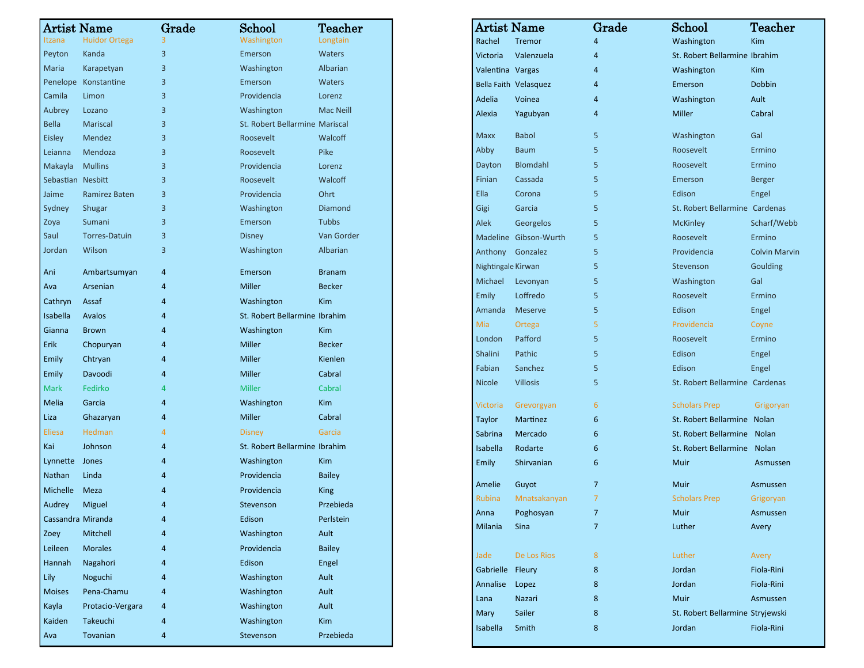| <b>Artist Name</b> |                      | Grade | School                         | Teacher          |
|--------------------|----------------------|-------|--------------------------------|------------------|
| Itzana             | <b>Huidor Ortega</b> | 3     | Washington                     | Longtain         |
| Peyton             | Kanda                | 3     | Emerson                        | <b>Waters</b>    |
| Maria              | Karapetyan           | 3     | Washington                     | Albarian         |
|                    | Penelope Konstantine | 3     | Emerson                        | <b>Waters</b>    |
| Camila             | Limon                | 3     | Providencia                    | Lorenz           |
| Aubrey             | Lozano               | 3     | Washington                     | <b>Mac Neill</b> |
| <b>Bella</b>       | Mariscal             | 3     | St. Robert Bellarmine Mariscal |                  |
| <b>Eisley</b>      | Mendez               | 3     | Roosevelt                      | Walcoff          |
| Leianna            | Mendoza              | 3     | Roosevelt                      | Pike             |
| Makayla            | <b>Mullins</b>       | 3     | Providencia                    | Lorenz           |
| Sebastian Nesbitt  |                      | 3     | Roosevelt                      | Walcoff          |
| Jaime              | Ramirez Baten        | 3     | Providencia                    | Ohrt             |
| Sydney             | Shugar               | 3     | Washington                     | Diamond          |
| Zoya               | Sumani               | 3     | Emerson                        | <b>Tubbs</b>     |
| Saul               | <b>Torres-Datuin</b> | 3     | <b>Disney</b>                  | Van Gorder       |
| Jordan             | Wilson               | 3     | Washington                     | Albarian         |
| Ani                | Ambartsumyan         | 4     | Emerson                        | <b>Branam</b>    |
| Ava                | Arsenian             | 4     | Miller                         | <b>Becker</b>    |
| Cathryn            | Assaf                | 4     | Washington                     | <b>Kim</b>       |
| Isabella           | Avalos               | 4     | St. Robert Bellarmine Ibrahim  |                  |
| Gianna             | <b>Brown</b>         | 4     | Washington                     | <b>Kim</b>       |
| Erik               | Chopuryan            | 4     | Miller                         | <b>Becker</b>    |
| <b>Emily</b>       | Chtryan              | 4     | <b>Miller</b>                  | Kienlen          |
| Emily              | Davoodi              | 4     | Miller                         | Cabral           |
| <b>Mark</b>        | Fedirko              | 4     | <b>Miller</b>                  | Cabral           |
| <b>Melia</b>       | Garcia               | 4     | Washington                     | <b>Kim</b>       |
| Liza               | Ghazaryan            | 4     | Miller                         | Cabral           |
| <b>Eliesa</b>      | <b>Hedman</b>        | 4     | <b>Disney</b>                  | Garcia           |
| Kai                | Johnson              | 4     | St. Robert Bellarmine Ibrahim  |                  |
| Lynnette Jones     |                      | 4     | Washington                     | <b>Kim</b>       |
| Nathan             | Linda                | 4     | Providencia                    | <b>Bailey</b>    |
| Michelle           | Meza                 | 4     | Providencia                    | <b>King</b>      |
| Audrey Miguel      |                      | Δ     | Stevenson                      | Przebieda        |
| Cassandra Miranda  |                      | 4     | Edison                         | Perlstein        |
| Zoey               | Mitchell             | 4     | Washington                     | Ault             |
| Leileen            | <b>Morales</b>       | 4     | Providencia                    | <b>Bailey</b>    |
| Hannah             | Nagahori             | 4     | Edison                         | Engel            |
| Lily               | Noguchi              | 4     | Washington                     | Ault             |
| <b>Moises</b>      | Pena-Chamu           | 4     | Washington                     | Ault             |
| Kayla              | Protacio-Vergara     | 4     | Washington                     | Ault             |
| Kaiden             | Takeuchi             | 4     | Washington                     | <b>Kim</b>       |
| Ava                | Tovanian             | 4     | Stevenson                      | Przebieda        |

| Artist Name        |                       | Grade          | $\operatorname{School}$          | $\operatorname{\mathsf{Teacher}}$ |
|--------------------|-----------------------|----------------|----------------------------------|-----------------------------------|
| Rachel             | <b>Tremor</b>         | 4              | Washington                       | <b>Kim</b>                        |
| Victoria           | Valenzuela            | 4              | St. Robert Bellarmine Ibrahim    |                                   |
| Valentina Vargas   |                       | $\overline{4}$ | Washington                       | Kim                               |
|                    | Bella Faith Velasquez | 4              | Emerson                          | <b>Dobbin</b>                     |
| Adelia             | Voinea                | 4              | Washington                       | Ault                              |
| Alexia             | Yagubyan              | 4              | Miller                           | Cabral                            |
| <b>Maxx</b>        | <b>Babol</b>          | 5              | Washington                       | Gal                               |
| Abby               | <b>Baum</b>           | 5              | Roosevelt                        | Ermino                            |
| Dayton             | Blomdahl              | 5              | Roosevelt                        | Ermino                            |
| Finian             | Cassada               | 5              | Emerson                          | <b>Berger</b>                     |
| Ella               | Corona                | 5              | Edison                           | Engel                             |
| Gigi               | Garcia                | 5              | St. Robert Bellarmine Cardenas   |                                   |
| Alek               | Georgelos             | 5              | <b>McKinley</b>                  | Scharf/Webb                       |
|                    | Madeline Gibson-Wurth | 5              | Roosevelt                        | Ermino                            |
| Anthony            | Gonzalez              | 5              | Providencia                      | <b>Colvin Marvin</b>              |
| Nightingale Kirwan |                       | 5              | Stevenson                        | Goulding                          |
| Michael            | Levonyan              | 5              | Washington                       | Gal                               |
| Emily              | Loffredo              | 5              | Roosevelt                        | Ermino                            |
| Amanda             | <b>Meserve</b>        | 5              | Edison                           | Engel                             |
| Mia                | Ortega                | 5              | Providencia                      | Coyne                             |
| London             | Pafford               | 5              | Roosevelt                        | Ermino                            |
| Shalini            | Pathic                | 5              | Edison                           | Engel                             |
| Fabian             | Sanchez               | 5              | Edison                           | Engel                             |
| <b>Nicole</b>      | <b>Villosis</b>       | 5              | St. Robert Bellarmine Cardenas   |                                   |
| Victoria           | Grevorgyan            | 6              | <b>Scholars Prep</b>             | Grigoryan                         |
| Taylor             | Martinez              | 6              | St. Robert Bellarmine Nolan      |                                   |
| Sabrina            | Mercado               | 6              | St. Robert Bellarmine Nolan      |                                   |
| Isabella           | Rodarte               | 6              | St. Robert Bellarmine            | <b>Nolan</b>                      |
| Emily              | Shirvanian            | 6              | Muir                             | Asmussen                          |
| Amelie             | Guyot                 | $\overline{7}$ | Muir                             | Asmussen                          |
| Rubina             | Mnatsakanyan          | 7              | <b>Scholars Prep</b>             | Grigoryan                         |
| Anna               | Poghosyan             | $\overline{7}$ | Muir                             | Asmussen                          |
| Milania            | Sina                  | 7              | Luther                           | Avery                             |
| Jade               | De Los Rios           | 8              | Luther                           | Avery                             |
| Gabrielle Fleury   |                       | 8              | Jordan                           | Fiola-Rini                        |
| Annalise           | Lopez                 | 8              | Jordan                           | Fiola-Rini                        |
| Lana               | Nazari                | 8              | Muir                             | Asmussen                          |
| Mary               | Sailer                | 8              | St. Robert Bellarmine Stryjewski |                                   |
| Isabella           | Smith                 | 8              | Jordan                           | Fiola-Rini                        |
|                    |                       |                |                                  |                                   |